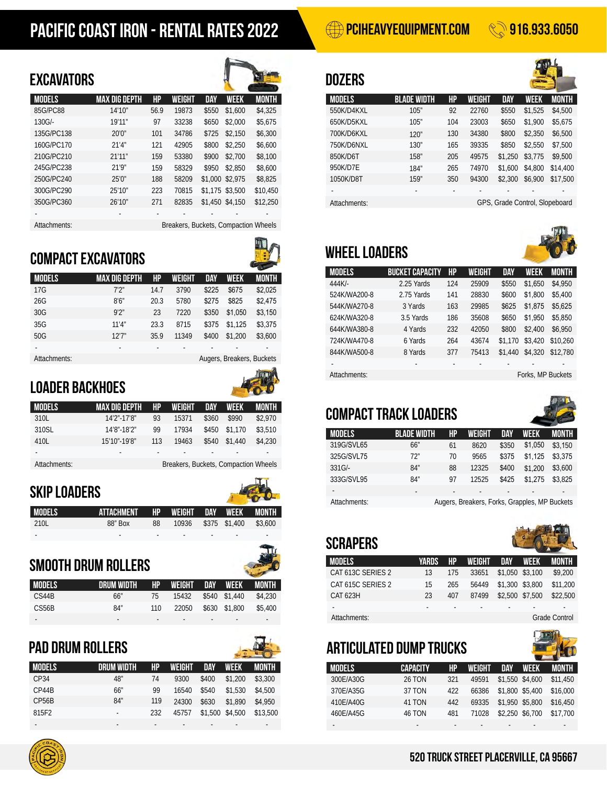# PACIFIC COAST IRON - RENTAL RATES 2022 **PERMIEL AND RENTAL RATES** 2022

### EXCAVATORS **dozers** dozers



| JNYATH VIIV              |                      |      |                                      |       |                 |              |
|--------------------------|----------------------|------|--------------------------------------|-------|-----------------|--------------|
| <b>MODELS</b>            | <b>MAX DIG DEPTH</b> | HP   | <b>WEIGHT</b>                        | DAY   | WEEK            | <b>MONTH</b> |
| 85G/PC88                 | 14'10"               | 56.9 | 19873                                | \$550 | \$1,600         | \$4,325      |
| 130G/-                   | 19'11''              | 97   | 33238                                | \$650 | \$2,000         | \$5,675      |
| 135G/PC138               | 20'0''               | 101  | 34786                                | \$725 | \$2,150         | \$6,300      |
| 160G/PC170               | 21'4''               | 121  | 42905                                | \$800 | \$2,250         | \$6,600      |
| 210G/PC210               | 21'11''              | 159  | 53380                                | \$900 | \$2,700         | \$8,100      |
| 245G/PC238               | 21'9''               | 159  | 58329                                | \$950 | \$2.850         | \$8,600      |
| 250G/PC240               | 25'0''               | 188  | 58209                                |       | \$1,000 \$2,975 | \$8,825      |
| 300G/PC290               | 25'10"               | 223  | 70815                                |       | \$1,175 \$3,500 | \$10,450     |
| 350G/PC360               | 26'10"               | 271  | 82835                                |       | \$1,450 \$4,150 | \$12,250     |
| $\overline{\phantom{a}}$ |                      |      |                                      |       |                 |              |
| Attachments:             |                      |      | Breakers, Buckets, Compaction Wheels |       |                 |              |

# Compact EXCAVATORS



| <b>MODELS</b> | <b>MAX DIG DEPTH</b> | HP   | <b>WEIGHT</b> | <b>DAY</b> | <b>WEEK</b>               | <b>MONTH</b> |
|---------------|----------------------|------|---------------|------------|---------------------------|--------------|
| 17G           | 7'2''                | 14.7 | 3790          | \$225      | \$675                     | \$2,025      |
| 26G           | 8'6''                | 20.3 | 5780          | \$275      | \$825                     | \$2,475      |
| 30G           | 9'2''                | 23   | 7220          | \$350      | \$1,050                   | \$3,150      |
| 35G           | 11'4''               | 23.3 | 8715          | \$375      | \$1,125                   | \$3,375      |
| 50G           | 12'7''               | 35.9 | 11349         | \$400      | \$1,200                   | \$3,600      |
| ٠             | ٠                    |      |               |            |                           |              |
| Attachments:  |                      |      |               |            | Augers, Breakers, Buckets |              |
|               |                      |      |               |            |                           |              |

# Loader Backhoes



| <b>MODELS</b> | .MAX DIG DEPTH' | HP  | WEIGHT                               | DAY   | <b>WEEK</b> | IMONTH  |
|---------------|-----------------|-----|--------------------------------------|-------|-------------|---------|
| 310L          | 14'2"-17'8"     | 93  | 15371                                | \$360 | \$990       | \$2,970 |
| 310SL         | 14'8"-18'2"     | 99  | 17934                                | \$450 | \$1.170     | \$3,510 |
| 410L          | 15'10"-19'8"    | 113 | 19463                                | \$540 | \$1.440     | \$4,230 |
|               | ٠               | ٠   | ٠                                    |       |             | ۰       |
| Attachments:  |                 |     | Breakers, Buckets, Compaction Wheels |       |             |         |

## Skip Loaders

| <b>MODELS</b> | ATTACHMENT HP WEIGHT DAY WEEK MONTH |                          |       |     |                          |         |
|---------------|-------------------------------------|--------------------------|-------|-----|--------------------------|---------|
| 210L          | 88" Box                             | 88                       | 10936 |     | \$375 \$1.400            | \$3.600 |
| -             | $\overline{\phantom{a}}$            | $\overline{\phantom{a}}$ | -     | . . | $\overline{\phantom{a}}$ | -       |

# Smooth Drum Rollers

| <b>MODELS</b> | DRUM WIDTH | HP  | WEIGHT DAY WEEK MONTH |               |         |
|---------------|------------|-----|-----------------------|---------------|---------|
| CS44B         | 66″        | 75  | 15432                 | \$540 \$1,440 | \$4,230 |
| CS56B         | 84"        | 110 | 22050                 | \$630 \$1,800 | \$5,400 |
|               | ۰          |     |                       |               |         |

# PAd Drum Rollers

| <b>MODELS</b>      | NRIIM WINTH | HP  | WEIGHT | DAY                      | <b>WEEK</b>     | <b>MONTH</b> |
|--------------------|-------------|-----|--------|--------------------------|-----------------|--------------|
| CP34               | 48"         | 74  | 9300   | \$400                    | \$1,200         | \$3,300      |
| CP44B              | 66"         | 99  | 16540  | \$540                    | \$1,530         | \$4,500      |
| CP <sub>56</sub> B | 84"         | 119 | 24300  | \$630                    | \$1,890         | \$4,950      |
| 815F2              | ٠           | 232 | 45757  |                          | \$1,500 \$4,500 | \$13.500     |
|                    | -           |     |        | $\overline{\phantom{0}}$ |                 |              |

| WEIGHT | DAY   | WEEK            | <b>MONTH</b> |
|--------|-------|-----------------|--------------|
| 19873  | \$550 | \$1,600         | \$4,325      |
| 33238  | \$650 | \$2,000         | \$5,675      |
| 34786  | \$725 | \$2,150         | \$6,300      |
| 42905  | \$800 | \$2,250         | \$6,600      |
| 53380  | \$900 | \$2,700         | \$8,100      |
| 58329  | \$950 | \$2.850         | \$8,600      |
| 58209  |       | \$1,000 \$2,975 | \$8,825      |
| 70815  |       | \$1,175 \$3,500 | \$10,450     |
| 82835  |       | \$1,450 \$4,150 | \$12,250     |
|        |       |                 |              |

# wheel loaders

| <b>BUCKET CAPACITY</b> | HP  | WEIGHT | <b>DAY</b> | WEEK    | MONTH             |
|------------------------|-----|--------|------------|---------|-------------------|
| 2.25 Yards             | 124 | 25909  | \$550      | \$1,650 | \$4,950           |
| 2.75 Yards             | 141 | 28830  | \$600      | \$1,800 | \$5,400           |
| 3 Yards                | 163 | 29985  | \$625      | \$1,875 | \$5,625           |
| 3.5 Yards              | 186 | 35608  | \$650      | \$1,950 | \$5,850           |
| 4 Yards                | 232 | 42050  | \$800      | \$2,400 | \$6,950           |
| 6 Yards                | 264 | 43674  | \$1,170    | \$3,420 | \$10.260          |
| 8 Yards                | 377 | 75413  | \$1,440    | \$4,320 | \$12,780          |
| ٠                      | ٠   | ٠      |            |         | ٠                 |
|                        |     |        |            |         |                   |
|                        |     |        |            |         | Forks, MP Buckets |

# compact track loaders

| <b>MODELS</b> | <b>BLADE WIDTH</b> | HP | WEIGHT                                        | DAY   | WEEK    | MONTH   |
|---------------|--------------------|----|-----------------------------------------------|-------|---------|---------|
| 319G/SVL65    | 66''               | 61 | 8620                                          | \$350 | \$1.050 | \$3.150 |
| 325G/SVL75    | 72"                | 70 | 9565                                          | \$375 | \$1.125 | \$3.375 |
| $331$ G/-     | 84"                | 88 | 12325                                         | \$400 | \$1,200 | \$3,600 |
| 333G/SVL95    | 84"                | 97 | 12525                                         | \$425 | \$1.275 | \$3.825 |
| -             | ٠                  |    |                                               |       |         | ٠       |
| Attachments:  |                    |    | Augers, Breakers, Forks, Grapples, MP Buckets |       |         |         |

# **SCRAPERS**

| <b>MODELS</b>     | YARDS | (HP) | WEIGHT | DAY             | <b>WEEK</b>     | MONTH                |
|-------------------|-------|------|--------|-----------------|-----------------|----------------------|
| CAT 613C SERIES 2 | 13    | 175  | 33651  | \$1,050 \$3,100 |                 | \$9,200              |
| CAT 615C SERIES 2 | 15    | 265  | 56449  | \$1,300 \$3,800 |                 | \$11,200             |
| CAT 623H          | 23    | 407  | 87499  |                 | \$2,500 \$7,500 | \$22,500             |
|                   | ۰     | ٠    | ۰      |                 |                 |                      |
| Attachments:      |       |      |        |                 |                 | <b>Grade Control</b> |

### Articulated Dump Trucks - - - - - - - - - - - - **MODELS** 300E/A30G 370E/A35G 460E/A45G **CAPACITY** 26 TON 37 TON 46 TON hp 321 422 119 24300 \$630 \$1,890 \$4,950 410E/A40G 41 TON 442 481 **WEIGHT** 49591 66386 24300 \$630 \$1,890 \$4,950 410E/A40G 41 TON 442 69335 71028 **nay** \$1,550 \$4,600 \$1,800 \$5,400 \$630 \$1,890 \$4,950 410E/A40G 41 TON 442 69335 \$1,950 \$2,250 \$6,700 **WFFK** \$1,890 \$5,800 \$4,950 \$16,450 **MONTH** \$11,450 \$16,000 \$17,700

### 520 truck street placerville, ca 95667